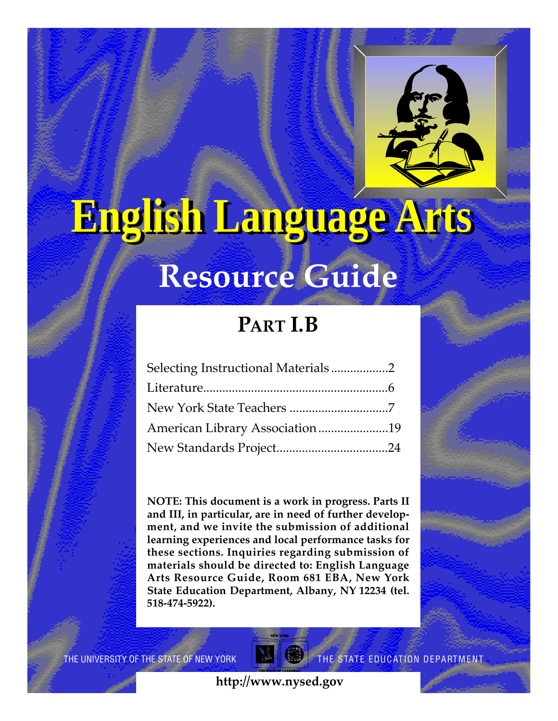

# **English Language Arts**

# **Resource Guide**

# **PART I.B**

| Selecting Instructional Materials2 |  |
|------------------------------------|--|
|                                    |  |
|                                    |  |
| American Library Association19     |  |
|                                    |  |

**NOTE: This document is a work in progress. Parts II and III, in particular, are in need of further development, and we invite the submission of additional learning experiences and local performance tasks for these sections. Inquiries regarding submission of materials should be directed to: English Language** Arts Resource Guide, Room 681 EBA, New York **State Education Department, Albany, NY 12234 (tel. 518-474-5922).**

THE UNIVERSITY OF THE STATE OF NEW YORK



THE STATE EDUCATION DEPARTMENT

**http://www.nysed.gov**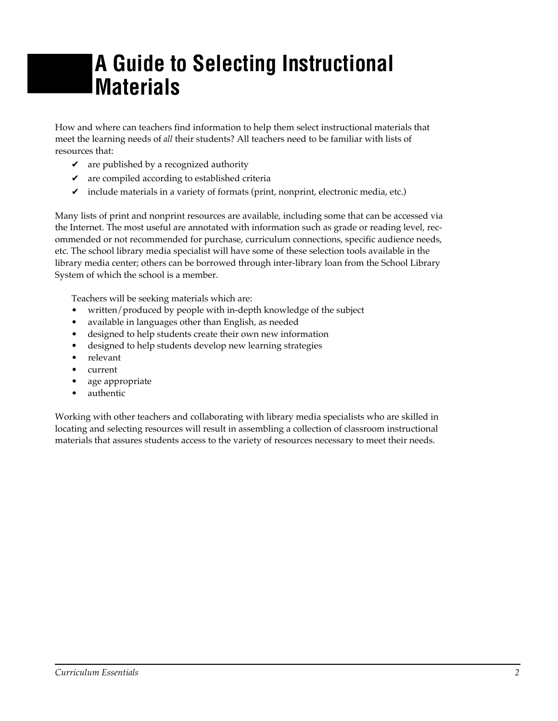# **A Guide to Selecting Instructional Materials**

How and where can teachers find information to help them select instructional materials that meet the learning needs of *all* their students? All teachers need to be familiar with lists of resources that:

- $\triangleright$  are published by a recognized authority
- $\triangleright$  are compiled according to established criteria
- $\triangleright$  include materials in a variety of formats (print, nonprint, electronic media, etc.)

Many lists of print and nonprint resources are available, including some that can be accessed via the Internet. The most useful are annotated with information such as grade or reading level, recommended or not recommended for purchase, curriculum connections, specific audience needs, etc. The school library media specialist will have some of these selection tools available in the library media center; others can be borrowed through inter-library loan from the School Library System of which the school is a member.

Teachers will be seeking materials which are:

- written/produced by people with in-depth knowledge of the subject
- available in languages other than English, as needed
- designed to help students create their own new information
- designed to help students develop new learning strategies
- relevant
- current
- age appropriate
- authentic

Working with other teachers and collaborating with library media specialists who are skilled in locating and selecting resources will result in assembling a collection of classroom instructional materials that assures students access to the variety of resources necessary to meet their needs.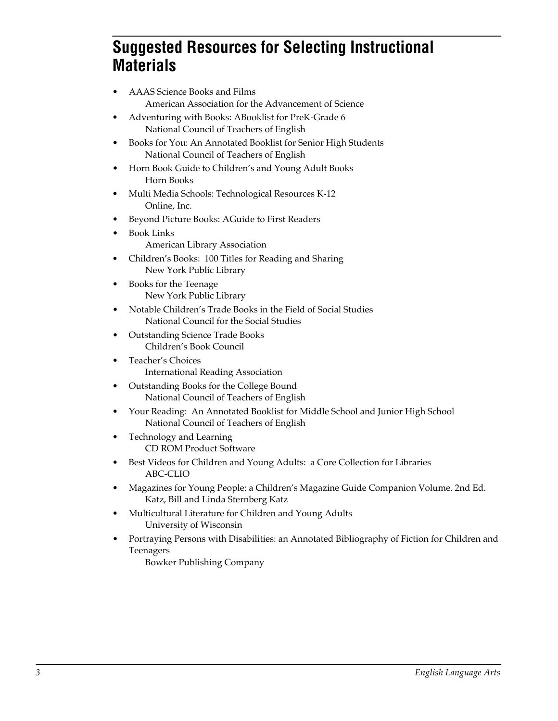## **Suggested Resources for Selecting Instructional Materials**

- AAAS Science Books and Films American Association for the Advancement of Science
- Adventuring with Books: ABooklist for PreK-Grade 6 National Council of Teachers of English
- Books for You: An Annotated Booklist for Senior High Students National Council of Teachers of English
- Horn Book Guide to Children's and Young Adult Books Horn Books
- Multi Media Schools: Technological Resources K-12 Online, Inc.
- Beyond Picture Books: AGuide to First Readers
	- Book Links American Library Association
- Children's Books: 100 Titles for Reading and Sharing New York Public Library
- Books for the Teenage New York Public Library
- Notable Children's Trade Books in the Field of Social Studies National Council for the Social Studies
- Outstanding Science Trade Books Children's Book Council
- Teacher's Choices International Reading Association
- Outstanding Books for the College Bound National Council of Teachers of English
- Your Reading: An Annotated Booklist for Middle School and Junior High School National Council of Teachers of English
- Technology and Learning CD ROM Product Software
- Best Videos for Children and Young Adults: a Core Collection for Libraries ABC-CLIO
- Magazines for Young People: a Children's Magazine Guide Companion Volume. 2nd Ed. Katz, Bill and Linda Sternberg Katz
- Multicultural Literature for Children and Young Adults University of Wisconsin
- Portraying Persons with Disabilities: an Annotated Bibliography of Fiction for Children and Teenagers

Bowker Publishing Company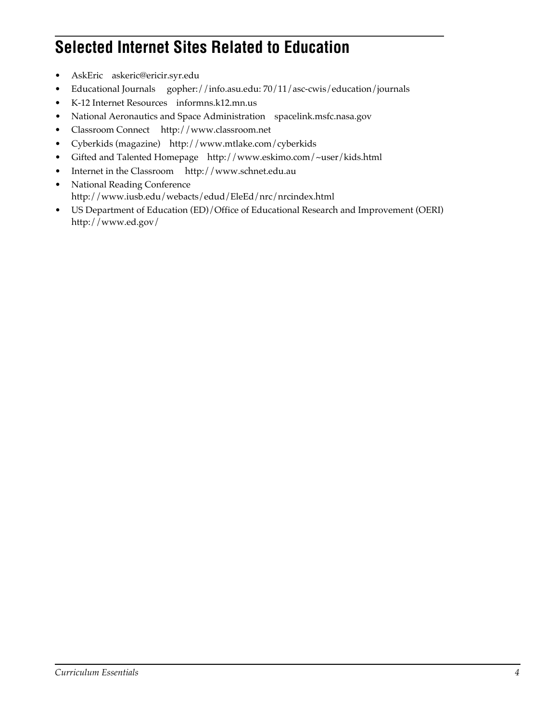## **Selected Internet Sites Related to Education**

- AskEric askeric@ericir.syr.edu
- Educational Journals gopher://info.asu.edu: 70/11/asc-cwis/education/journals
- K-12 Internet Resources informns.k12.mn.us
- National Aeronautics and Space Administration spacelink.msfc.nasa.gov
- Classroom Connect http://www.classroom.net
- Cyberkids (magazine) http://www.mtlake.com/cyberkids
- Gifted and Talented Homepage http://www.eskimo.com/~user/kids.html
- Internet in the Classroom http://www.schnet.edu.au
- National Reading Conference http://www.iusb.edu/webacts/edud/EleEd/nrc/nrcindex.html
- US Department of Education (ED)/Office of Educational Research and Improvement (OERI) http://www.ed.gov/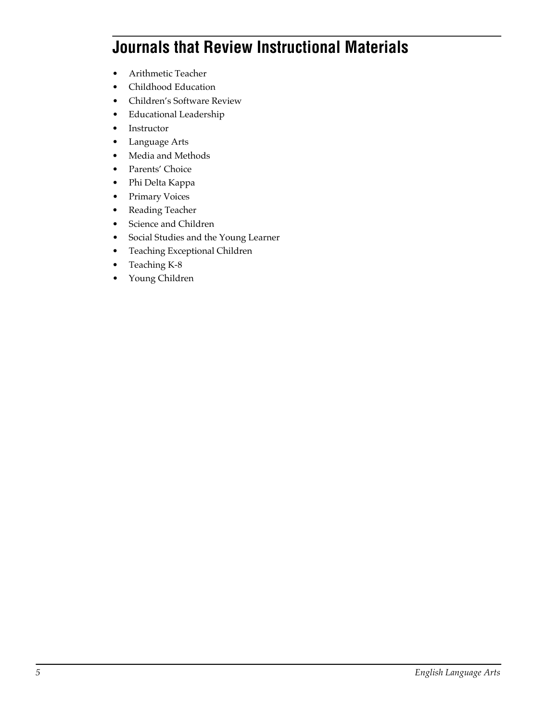## **Journals that Review Instructional Materials**

- Arithmetic Teacher
- Childhood Education
- Children's Software Review
- Educational Leadership
- Instructor
- Language Arts
- Media and Methods
- Parents' Choice
- Phi Delta Kappa
- Primary Voices
- Reading Teacher
- Science and Children
- Social Studies and the Young Learner
- Teaching Exceptional Children
- Teaching K-8
- Young Children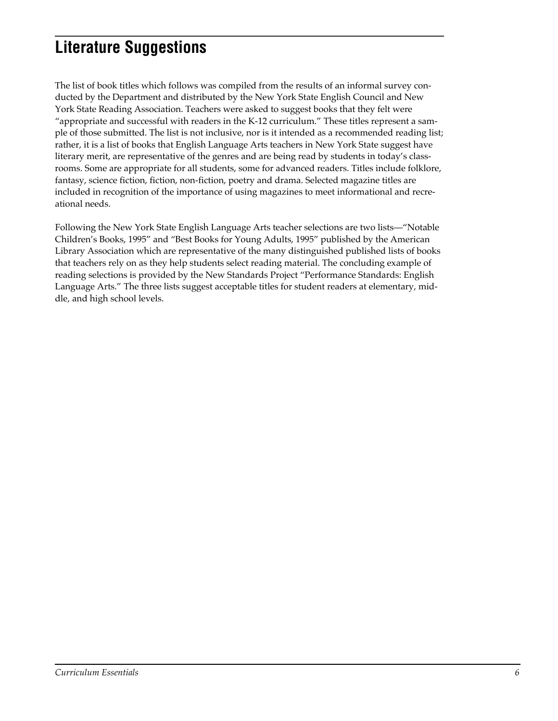## **Literature Suggestions**

The list of book titles which follows was compiled from the results of an informal survey conducted by the Department and distributed by the New York State English Council and New York State Reading Association. Teachers were asked to suggest books that they felt were "appropriate and successful with readers in the K-12 curriculum." These titles represent a sample of those submitted. The list is not inclusive, nor is it intended as a recommended reading list; rather, it is a list of books that English Language Arts teachers in New York State suggest have literary merit, are representative of the genres and are being read by students in today's classrooms. Some are appropriate for all students, some for advanced readers. Titles include folklore, fantasy, science fiction, fiction, non-fiction, poetry and drama. Selected magazine titles are included in recognition of the importance of using magazines to meet informational and recreational needs.

Following the New York State English Language Arts teacher selections are two lists—"Notable Children's Books, 1995" and "Best Books for Young Adults, 1995" published by the American Library Association which are representative of the many distinguished published lists of books that teachers rely on as they help students select reading material. The concluding example of reading selections is provided by the New Standards Project "Performance Standards: English Language Arts." The three lists suggest acceptable titles for student readers at elementary, middle, and high school levels.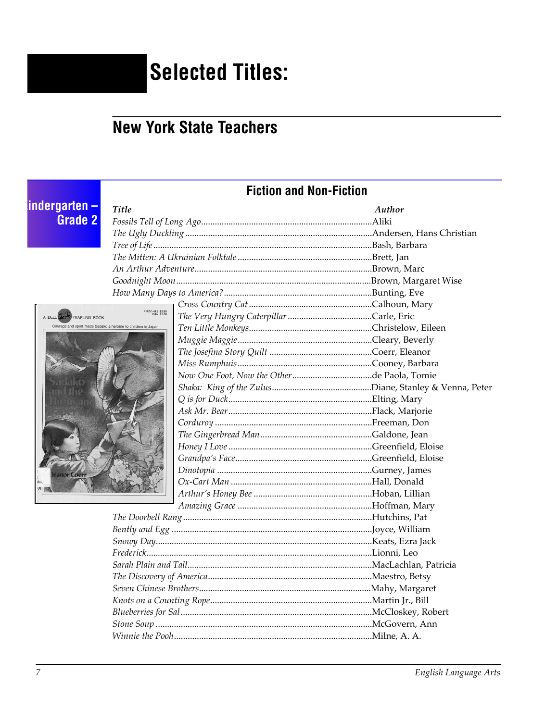# **Selected Titles:**

## **New York State Teachers**

## **Fiction and Non-Fiction**

# indergarten –<br>Grade 2

A DELL

YEARLING BOOK

| l itle                       | Author |
|------------------------------|--------|
|                              |        |
|                              |        |
|                              |        |
|                              |        |
|                              |        |
|                              |        |
|                              |        |
|                              |        |
| 47465-5-U.S. \$2.95          |        |
| eroine to children in Japan. |        |
|                              |        |
|                              |        |
|                              |        |
|                              |        |
|                              |        |
|                              |        |
|                              |        |
|                              |        |
|                              |        |
|                              |        |
|                              |        |
|                              |        |
|                              |        |
|                              |        |
|                              |        |
|                              |        |
|                              |        |
|                              |        |
|                              |        |
|                              |        |
|                              |        |
|                              |        |
|                              |        |
|                              |        |
|                              |        |
|                              |        |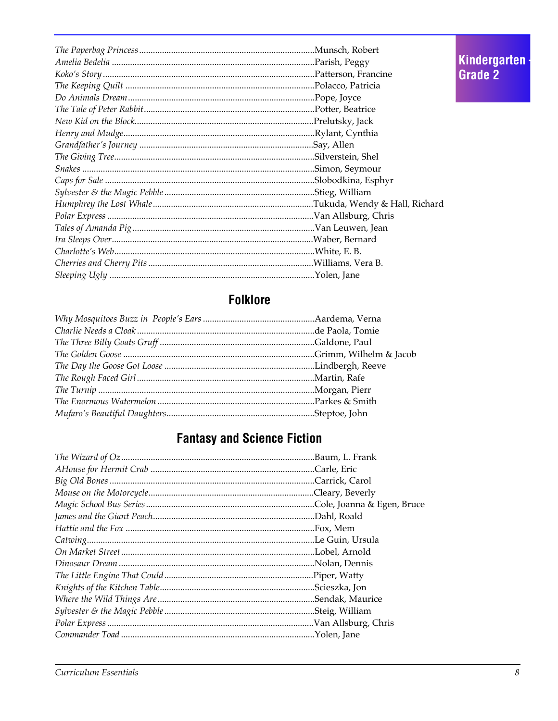## **Folklore**

## **Fantasy and Science Fiction**

Kindergarten<br>Grade 2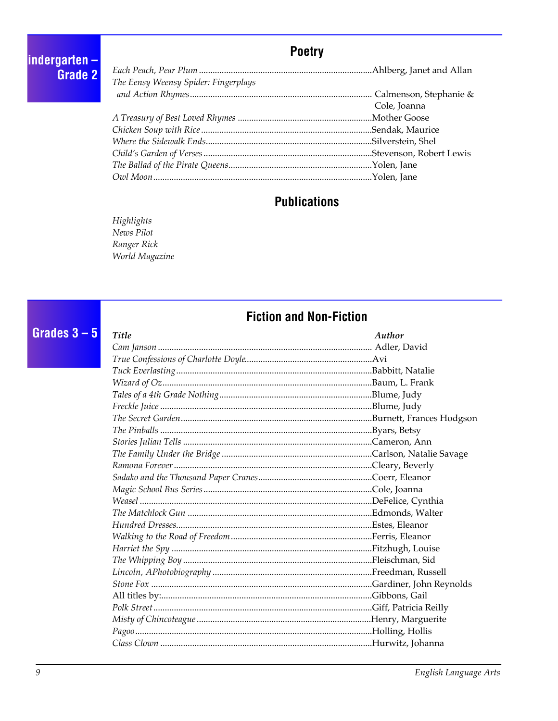#### **Poetry**

indergarten -**Grade 2** 

Grades  $3 - 5$ 

| The Eensy Weensy Spider: Fingerplays |              |
|--------------------------------------|--------------|
|                                      |              |
|                                      | Cole, Joanna |
|                                      |              |
|                                      |              |
|                                      |              |
|                                      |              |
|                                      |              |
|                                      |              |

#### **Publications**

Highlights News Pilot Ranger Rick World Magazine

#### **Fiction and Non-Fiction**

**Title** Author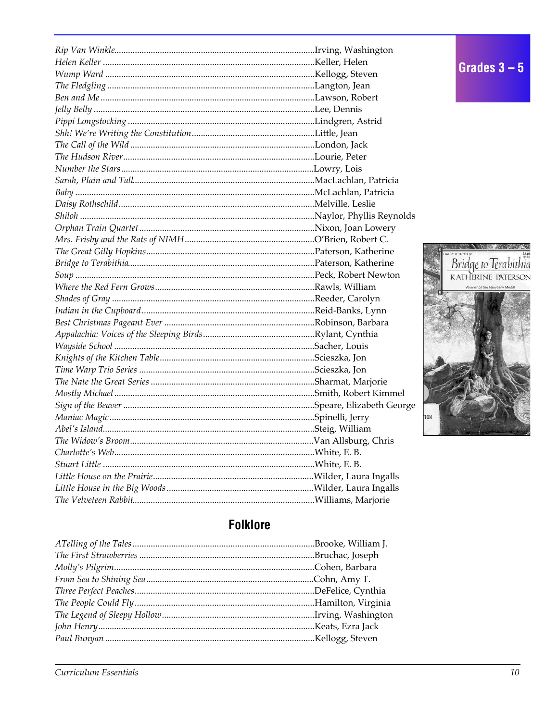



## **Folklore**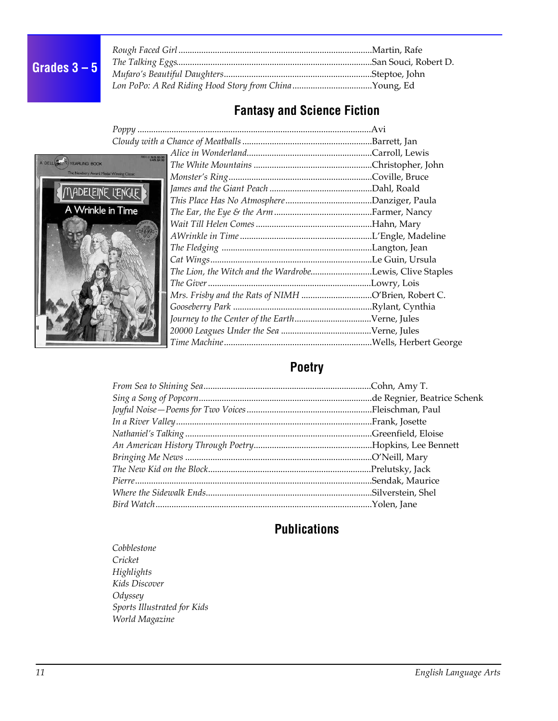## **Grades 3 – 5**

| Lon PoPo: A Red Riding Hood Story from ChinaYoung, Ed |  |
|-------------------------------------------------------|--|

## **Fantasy and Science Fiction**



| 49805-8 -U.S. \$3.99 |                                                          |  |
|----------------------|----------------------------------------------------------|--|
|                      |                                                          |  |
| Winning Classic      |                                                          |  |
| <b>L'ENGLE</b>       |                                                          |  |
|                      |                                                          |  |
| n Time               |                                                          |  |
|                      |                                                          |  |
|                      |                                                          |  |
|                      |                                                          |  |
|                      |                                                          |  |
|                      | The Lion, the Witch and the WardrobeLewis, Clive Staples |  |
|                      |                                                          |  |
|                      | Mrs. Frisby and the Rats of NIMH O'Brien, Robert C.      |  |
|                      |                                                          |  |
|                      |                                                          |  |
|                      |                                                          |  |
|                      |                                                          |  |

## **Poetry**

## **Publications**

*Cobblestone Cricket Highlights Kids Discover Odyssey Sports Illustrated for Kids World Magazine*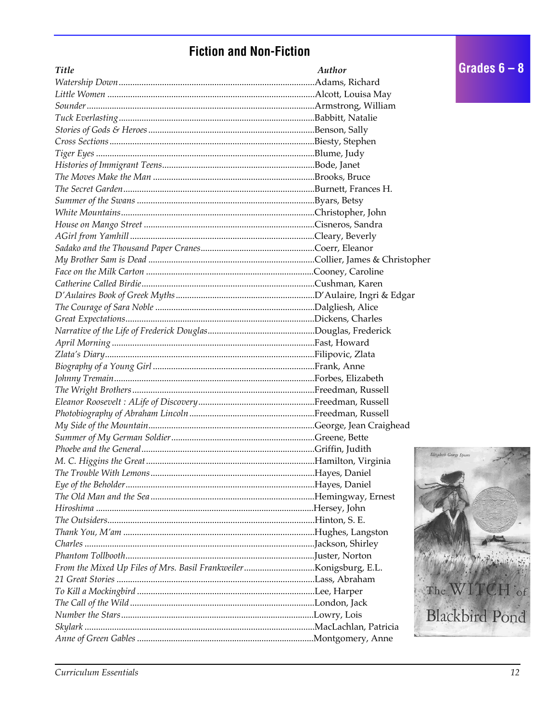## **Fiction and Non-Fiction**

| <b>Title</b> | Author |
|--------------|--------|
|              |        |
|              |        |
|              |        |
|              |        |
|              |        |
|              |        |
|              |        |
|              |        |
|              |        |
|              |        |
|              |        |
|              |        |
|              |        |
|              |        |
|              |        |
|              |        |
|              |        |
|              |        |
|              |        |
|              |        |
|              |        |
|              |        |
|              |        |
|              |        |
|              |        |
|              |        |
|              |        |
|              |        |
|              |        |
|              |        |
|              |        |
|              |        |
|              | I      |
|              |        |
|              |        |
|              |        |
|              |        |
|              |        |
|              |        |
|              |        |
|              |        |
|              |        |
|              |        |
|              |        |
|              |        |
|              |        |
|              |        |
|              |        |
|              |        |

**Elizabeth George Speare** 

Grades  $6 - 8$ 

 $P(x)$ 

The WITCH of

Blackbird Pond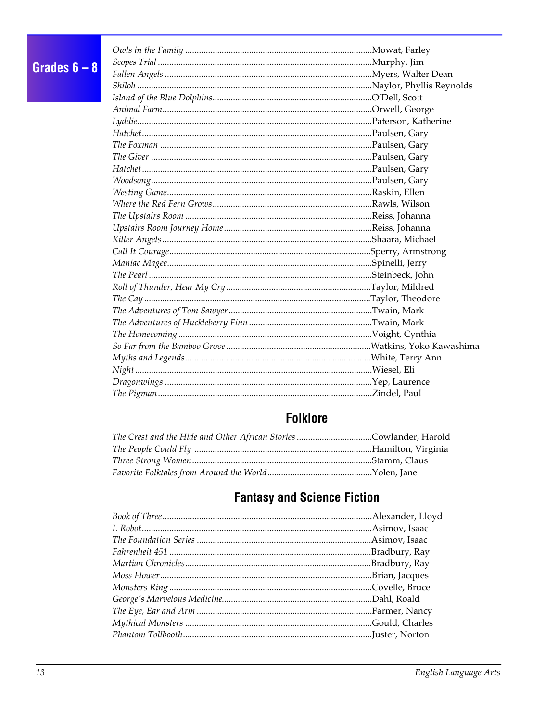## Grades  $6-8$

## **Folklore**

| The Crest and the Hide and Other African Stories Cowlander, Harold |  |
|--------------------------------------------------------------------|--|
|                                                                    |  |
|                                                                    |  |
|                                                                    |  |

## **Fantasy and Science Fiction**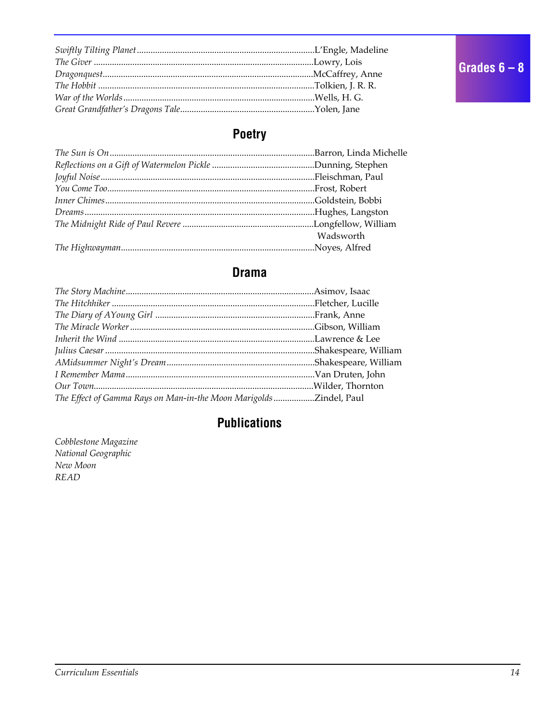## Poetry

| Wadsworth |
|-----------|
|           |
|           |

#### **Drama**

| The Effect of Gamma Rays on Man-in-the Moon Marigolds Zindel, Paul |  |
|--------------------------------------------------------------------|--|

#### **Publications**

Cobblestone Magazine National Geographic New Moon **READ**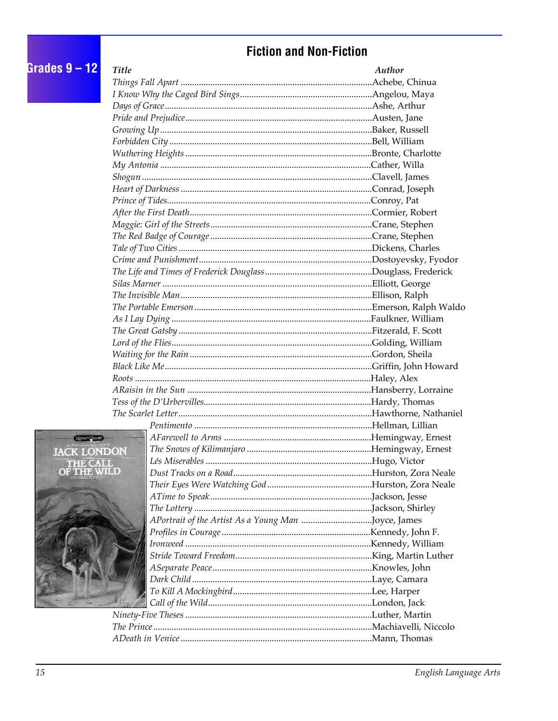## **Fiction and Non-Fiction**

| Grades $9 - 12$    | <b>Title</b> | Author |
|--------------------|--------------|--------|
|                    |              |        |
|                    |              |        |
|                    |              |        |
|                    |              |        |
|                    |              |        |
|                    |              |        |
|                    |              |        |
|                    |              |        |
|                    |              |        |
|                    |              |        |
|                    |              |        |
|                    |              |        |
|                    |              |        |
|                    |              |        |
|                    |              |        |
|                    |              |        |
|                    |              |        |
|                    |              |        |
|                    |              |        |
|                    |              |        |
|                    |              |        |
|                    |              |        |
|                    |              |        |
|                    |              |        |
|                    |              |        |
|                    |              |        |
|                    |              |        |
|                    |              |        |
|                    |              |        |
|                    |              |        |
| Segment Jacob      |              |        |
| <b>JACK LONDON</b> |              |        |
| <b>THEIR OAN</b>   |              |        |
| U W Ş A ƏQA        |              |        |
|                    |              |        |
|                    |              |        |
|                    |              |        |
|                    |              |        |
|                    |              |        |
|                    |              |        |
|                    |              |        |
|                    |              |        |
|                    |              |        |
|                    |              |        |
|                    |              |        |
|                    |              |        |
|                    |              |        |
|                    |              |        |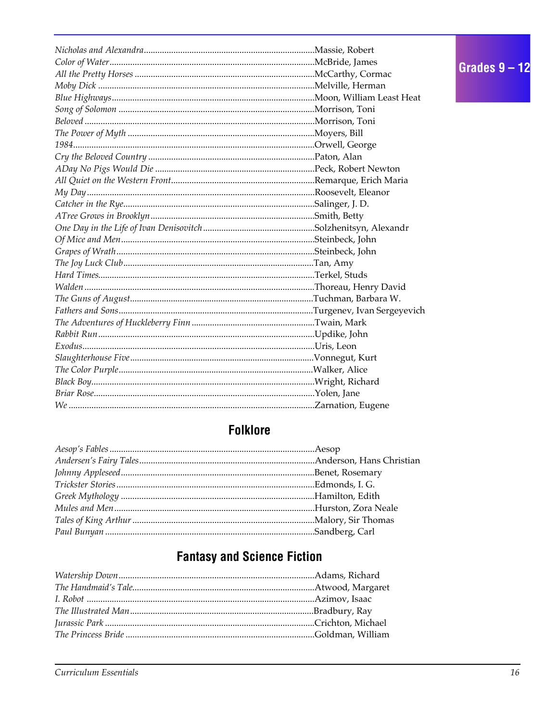## **Folklore**

## **Fantasy and Science Fiction**

Grades  $9 - 12$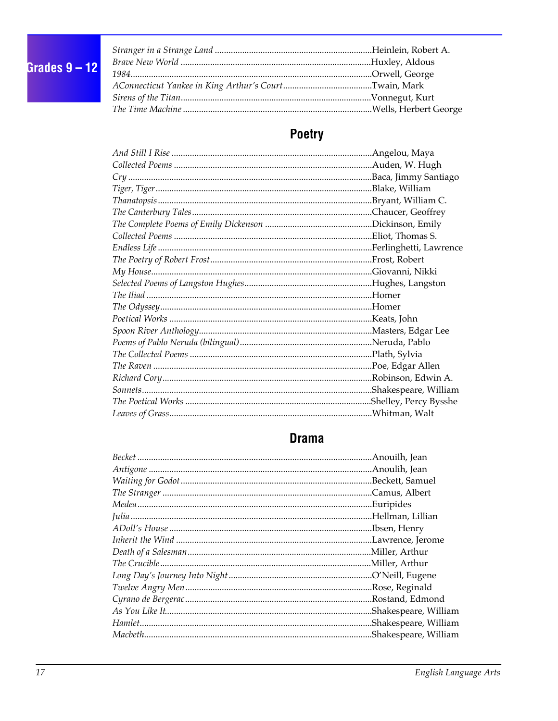

## Poetry

## **Drama**

| .Anouilh, Jean        |
|-----------------------|
|                       |
|                       |
|                       |
| Euripides             |
| Hellman, Lillian      |
|                       |
|                       |
|                       |
| Miller, Arthur        |
| O'Neill, Eugene       |
|                       |
| Rostand, Edmond       |
| Shakespeare, William. |
| .Shakespeare, William |
| Shakespeare, William  |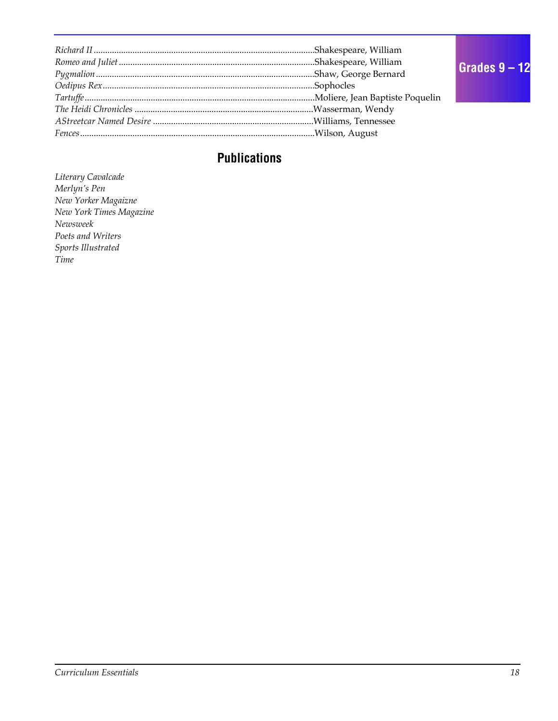### **Publications**

*Literary Cavalcade Merlyn's Pen New Yorker Magaizne New York Times Magazine Newsweek Poets and Writers Sports Illustrated Time*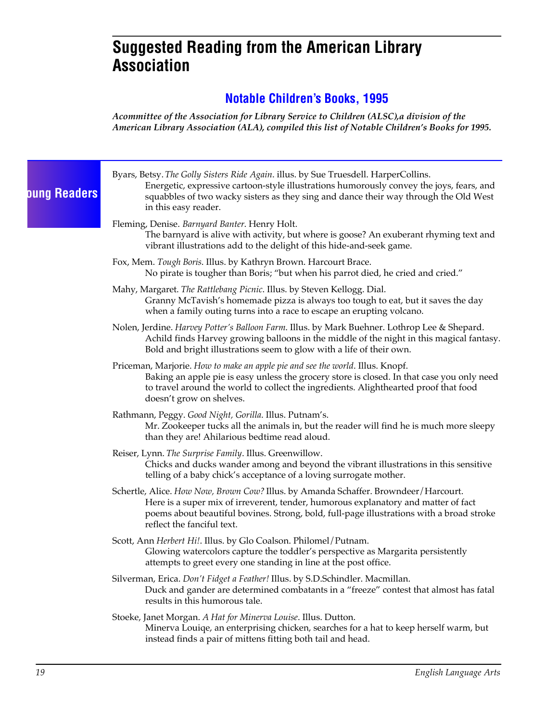## **Suggested Reading from the American Library Association**

#### **Notable Children's Books, 1995**

*Acommittee of the Association for Library Service to Children (ALSC),a division of the American Library Association (ALA), compiled this list of Notable Children's Books for 1995.*

| <b>Dung Readers</b> | Byars, Betsy. The Golly Sisters Ride Again. illus. by Sue Truesdell. HarperCollins.<br>Energetic, expressive cartoon-style illustrations humorously convey the joys, fears, and<br>squabbles of two wacky sisters as they sing and dance their way through the Old West<br>in this easy reader.     |
|---------------------|-----------------------------------------------------------------------------------------------------------------------------------------------------------------------------------------------------------------------------------------------------------------------------------------------------|
|                     | Fleming, Denise. Barnyard Banter. Henry Holt.<br>The barnyard is alive with activity, but where is goose? An exuberant rhyming text and<br>vibrant illustrations add to the delight of this hide-and-seek game.                                                                                     |
|                     | Fox, Mem. Tough Boris. Illus. by Kathryn Brown. Harcourt Brace.<br>No pirate is tougher than Boris; "but when his parrot died, he cried and cried."                                                                                                                                                 |
|                     | Mahy, Margaret. The Rattlebang Picnic. Illus. by Steven Kellogg. Dial.<br>Granny McTavish's homemade pizza is always too tough to eat, but it saves the day<br>when a family outing turns into a race to escape an erupting volcano.                                                                |
|                     | Nolen, Jerdine. <i>Harvey Potter's Balloon Farm</i> . Illus. by Mark Buehner. Lothrop Lee & Shepard.<br>Achild finds Harvey growing balloons in the middle of the night in this magical fantasy.<br>Bold and bright illustrations seem to glow with a life of their own.                            |
|                     | Priceman, Marjorie. How to make an apple pie and see the world. Illus. Knopf.<br>Baking an apple pie is easy unless the grocery store is closed. In that case you only need<br>to travel around the world to collect the ingredients. Alighthearted proof that food<br>doesn't grow on shelves.     |
|                     | Rathmann, Peggy. Good Night, Gorilla. Illus. Putnam's.<br>Mr. Zookeeper tucks all the animals in, but the reader will find he is much more sleepy<br>than they are! Ahilarious bedtime read aloud.                                                                                                  |
|                     | Reiser, Lynn. The Surprise Family. Illus. Greenwillow.<br>Chicks and ducks wander among and beyond the vibrant illustrations in this sensitive<br>telling of a baby chick's acceptance of a loving surrogate mother.                                                                                |
|                     | Schertle, Alice. How Now, Brown Cow? Illus. by Amanda Schaffer. Browndeer/Harcourt.<br>Here is a super mix of irreverent, tender, humorous explanatory and matter of fact<br>poems about beautiful bovines. Strong, bold, full-page illustrations with a broad stroke<br>reflect the fanciful text. |
|                     | Scott, Ann Herbert Hi!. Illus. by Glo Coalson. Philomel/Putnam.<br>Glowing watercolors capture the toddler's perspective as Margarita persistently<br>attempts to greet every one standing in line at the post office.                                                                              |
|                     | Silverman, Erica. Don't Fidget a Feather! Illus. by S.D.Schindler. Macmillan.<br>Duck and gander are determined combatants in a "freeze" contest that almost has fatal<br>results in this humorous tale.                                                                                            |
|                     | Stoeke, Janet Morgan. A Hat for Minerva Louise. Illus. Dutton.<br>Minerva Louiqe, an enterprising chicken, searches for a hat to keep herself warm, but<br>instead finds a pair of mittens fitting both tail and head.                                                                              |
|                     |                                                                                                                                                                                                                                                                                                     |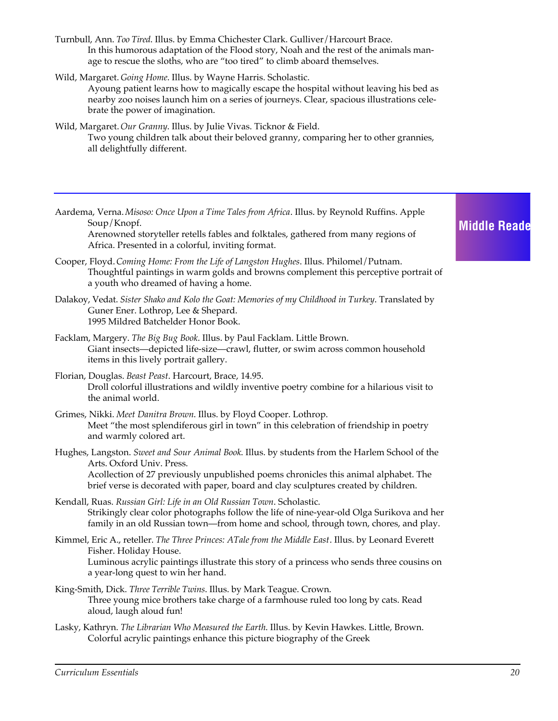Turnbull, Ann. *Too Tired*. Illus. by Emma Chichester Clark. Gulliver/Harcourt Brace. In this humorous adaptation of the Flood story, Noah and the rest of the animals manage to rescue the sloths, who are "too tired" to climb aboard themselves.

Wild, Margaret. *Going Home*. Illus. by Wayne Harris. Scholastic.

Ayoung patient learns how to magically escape the hospital without leaving his bed as nearby zoo noises launch him on a series of journeys. Clear, spacious illustrations celebrate the power of imagination.

- Wild, Margaret. *Our Granny*. Illus. by Julie Vivas. Ticknor & Field. Two young children talk about their beloved granny, comparing her to other grannies, all delightfully different.
- Aardema, Verna. *Misoso: Once Upon a Time Tales from Africa*. Illus. by Reynold Ruffins. Apple Soup/Knopf.

Arenowned storyteller retells fables and folktales, gathered from many regions of Africa. Presented in a colorful, inviting format.

- Cooper, Floyd. *Coming Home: From the Life of Langston Hughes*. Illus. Philomel/Putnam. Thoughtful paintings in warm golds and browns complement this perceptive portrait of a youth who dreamed of having a home.
- Dalakoy, Vedat. *Sister Shako and Kolo the Goat: Memories of my Childhood in Turkey*. Translated by Guner Ener. Lothrop, Lee & Shepard. 1995 Mildred Batchelder Honor Book.
- Facklam, Margery. *The Big Bug Book*. Illus. by Paul Facklam. Little Brown. Giant insects—depicted life-size—crawl, flutter, or swim across common household items in this lively portrait gallery.
- Florian, Douglas. *Beast Peast*. Harcourt, Brace, 14.95. Droll colorful illustrations and wildly inventive poetry combine for a hilarious visit to the animal world.
- Grimes, Nikki. *Meet Danitra Brown*. Illus. by Floyd Cooper. Lothrop. Meet "the most splendiferous girl in town" in this celebration of friendship in poetry and warmly colored art.
- Hughes, Langston. *Sweet and Sour Animal Book*. Illus. by students from the Harlem School of the Arts. Oxford Univ. Press. Acollection of 27 previously unpublished poems chronicles this animal alphabet. The brief verse is decorated with paper, board and clay sculptures created by children.
- Kendall, Ruas. *Russian Girl: Life in an Old Russian Town*. Scholastic. Strikingly clear color photographs follow the life of nine-year-old Olga Surikova and her family in an old Russian town—from home and school, through town, chores, and play.
- Kimmel, Eric A., reteller. *The Three Princes: ATale from the Middle East*. Illus. by Leonard Everett Fisher. Holiday House. Luminous acrylic paintings illustrate this story of a princess who sends three cousins on a year-long quest to win her hand.
- King-Smith, Dick. *Three Terrible Twins*. Illus. by Mark Teague. Crown. Three young mice brothers take charge of a farmhouse ruled too long by cats. Read aloud, laugh aloud fun!
- Lasky, Kathryn. *The Librarian Who Measured the Earth*. Illus. by Kevin Hawkes. Little, Brown. Colorful acrylic paintings enhance this picture biography of the Greek

#### **Middle Reade**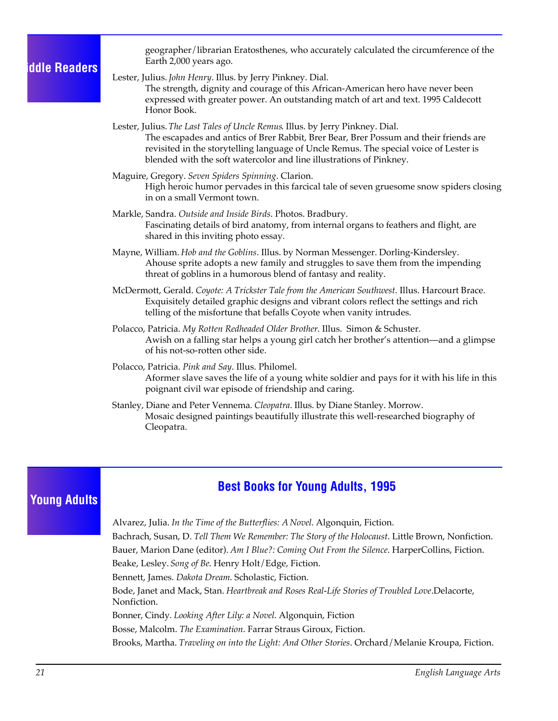#### **Middle Readers**

geographer/librarian Eratosthenes, who accurately calculated the circumference of the Earth 2,000 years ago.

- Lester, Julius. *John Henry*. Illus. by Jerry Pinkney. Dial. The strength, dignity and courage of this African-American hero have never been expressed with greater power. An outstanding match of art and text. 1995 Caldecott Honor Book.
- Lester, Julius. *The Last Tales of Uncle Remus*. Illus. by Jerry Pinkney. Dial. The escapades and antics of Brer Rabbit, Brer Bear, Brer Possum and their friends are revisited in the storytelling language of Uncle Remus. The special voice of Lester is blended with the soft watercolor and line illustrations of Pinkney.
- Maguire, Gregory. *Seven Spiders Spinning*. Clarion. High heroic humor pervades in this farcical tale of seven gruesome snow spiders closing in on a small Vermont town.
- Markle, Sandra. *Outside and Inside Birds*. Photos. Bradbury. Fascinating details of bird anatomy, from internal organs to feathers and flight, are shared in this inviting photo essay.
- Mayne, William. *Hob and the Goblins*. Illus. by Norman Messenger. Dorling-Kindersley. Ahouse sprite adopts a new family and struggles to save them from the impending threat of goblins in a humorous blend of fantasy and reality.
- McDermott, Gerald. *Coyote: A Trickster Tale from the American Southwest*. Illus. Harcourt Brace. Exquisitely detailed graphic designs and vibrant colors reflect the settings and rich telling of the misfortune that befalls Coyote when vanity intrudes.
- Polacco, Patricia. *My Rotten Redheaded Older Brother*. Illus. Simon & Schuster. Awish on a falling star helps a young girl catch her brother's attention—and a glimpse of his not-so-rotten other side.
- Polacco, Patricia. *Pink and Say*. Illus. Philomel. Aformer slave saves the life of a young white soldier and pays for it with his life in this poignant civil war episode of friendship and caring.
- Stanley, Diane and Peter Vennema. *Cleopatra*. Illus. by Diane Stanley. Morrow. Mosaic designed paintings beautifully illustrate this well-researched biography of Cleopatra.

#### **Young Adults**

#### **Best Books for Young Adults, 1995**

Alvarez, Julia. *In the Time of the Butterflies: A Novel*. Algonquin, Fiction. Bachrach, Susan, D. *Tell Them We Remember: The Story of the Holocaust*. Little Brown, Nonfiction. Bauer, Marion Dane (editor). *Am I Blue?: Coming Out From the Silence*. HarperCollins, Fiction. Beake, Lesley. *Song of Be*. Henry Holt/Edge, Fiction. Bennett, James. *Dakota Dream*. Scholastic, Fiction. Bode, Janet and Mack, Stan. *Heartbreak and Roses Real-Life Stories of Troubled Love*.Delacorte, Nonfiction. Bonner, Cindy. *Looking After Lily: a Novel*. Algonquin, Fiction Bosse, Malcolm. *The Examination*. Farrar Straus Giroux, Fiction. Brooks, Martha. *Traveling on into the Light: And Other Stories*. Orchard/Melanie Kroupa, Fiction.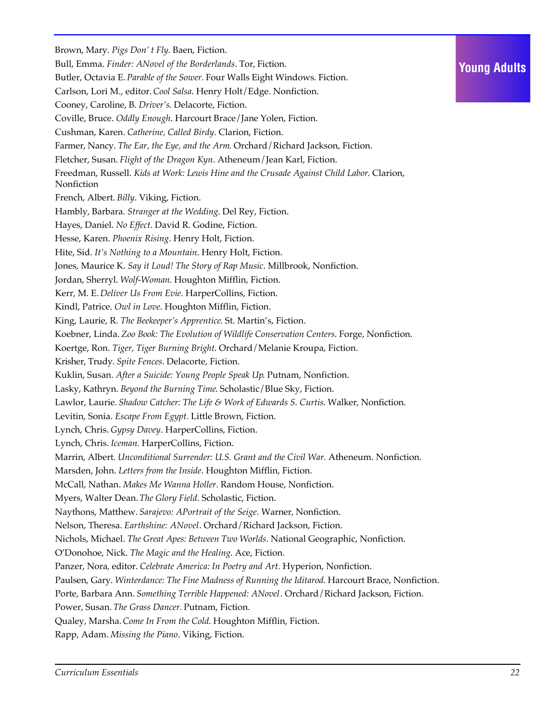Brown, Mary. *Pigs Don' t Fly*. Baen, Fiction. Bull, Emma. *Finder: ANovel of the Borderlands*. Tor, Fiction. Butler, Octavia E. *Parable of the Sower.* Four Walls Eight Windows. Fiction. Carlson, Lori M., editor. *Cool Salsa*. Henry Holt/Edge. Nonfiction. Cooney, Caroline, B. *Driver's*. Delacorte, Fiction. Coville, Bruce. *Oddly Enough*. Harcourt Brace/Jane Yolen, Fiction. Cushman, Karen. *Catherine, Called Birdy*. Clarion, Fiction. Farmer, Nancy. *The Ear, the Eye, and the Arm*. Orchard/Richard Jackson, Fiction. Fletcher, Susan. *Flight of the Dragon Kyn*. Atheneum/Jean Karl, Fiction. Freedman, Russell. *Kids at Work: Lewis Hine and the Crusade Against Child Labor*. Clarion, Nonfiction French, Albert. *Billy*. Viking, Fiction. Hambly, Barbara. *Stranger at the Wedding*. Del Rey, Fiction. Hayes, Daniel. *No Effect*. David R. Godine, Fiction. Hesse, Karen. *Phoenix Rising*. Henry Holt, Fiction. Hite, Sid. *It's Nothing to a Mountain*. Henry Holt, Fiction. Jones, Maurice K. *Say it Loud! The Story of Rap Music*. Millbrook, Nonfiction. Jordan, Sherryl. *Wolf-Woman*. Houghton Mifflin, Fiction. Kerr, M. E. *Deliver Us From Evie*. HarperCollins, Fiction. Kindl, Patrice. *Owl in Love*. Houghton Mifflin, Fiction. King, Laurie, R. *The Beekeeper's Apprentice*. St. Martin's, Fiction. Koebner, Linda. *Zoo Book: The Evolution of Wildlife Conservation Centers*. Forge, Nonfiction. Koertge, Ron. *Tiger, Tiger Burning Bright*. Orchard/Melanie Kroupa, Fiction. Krisher, Trudy. *Spite Fences*. Delacorte, Fiction. Kuklin, Susan. *After a Suicide: Young People Speak Up*. Putnam, Nonfiction. Lasky, Kathryn. *Beyond the Burning Time*. Scholastic/Blue Sky, Fiction. Lawlor, Laurie. *Shadow Catcher: The Life & Work of Edwards S. Curtis*. Walker, Nonfiction. Levitin, Sonia. *Escape From Egypt.* Little Brown, Fiction. Lynch, Chris. *Gypsy Davey*. HarperCollins, Fiction. Lynch, Chris. *Iceman*. HarperCollins, Fiction. Marrin, Albert. *Unconditional Surrender: U.S. Grant and the Civil War.* Atheneum. Nonfiction. Marsden, John. *Letters from the Inside*. Houghton Mifflin, Fiction. McCall, Nathan. *Makes Me Wanna Holler*. Random House, Nonfiction. Myers, Walter Dean. *The Glory Field*. Scholastic, Fiction. Naythons, Matthew.*Sarajevo: APortrait of the Seige.* Warner, Nonfiction. Nelson, Theresa. *Earthshine: ANovel*. Orchard/Richard Jackson, Fiction. Nichols, Michael. *The Great Apes: Between Two Worlds*. National Geographic, Nonfiction. O'Donohoe, Nick. *The Magic and the Healing*. Ace, Fiction. Panzer, Nora, editor. *Celebrate America: In Poetry and Art.* Hyperion, Nonfiction. Paulsen, Gary. *Winterdance: The Fine Madness of Running the Iditarod*. Harcourt Brace, Nonfiction. Porte, Barbara Ann. *Something Terrible Happened: ANovel*. Orchard/Richard Jackson, Fiction. Power, Susan. *The Grass Dancer.* Putnam, Fiction. Qualey, Marsha. *Come In From the Cold*. Houghton Mifflin, Fiction. Rapp, Adam. *Missing the Piano*. Viking, Fiction.

**Young Adults**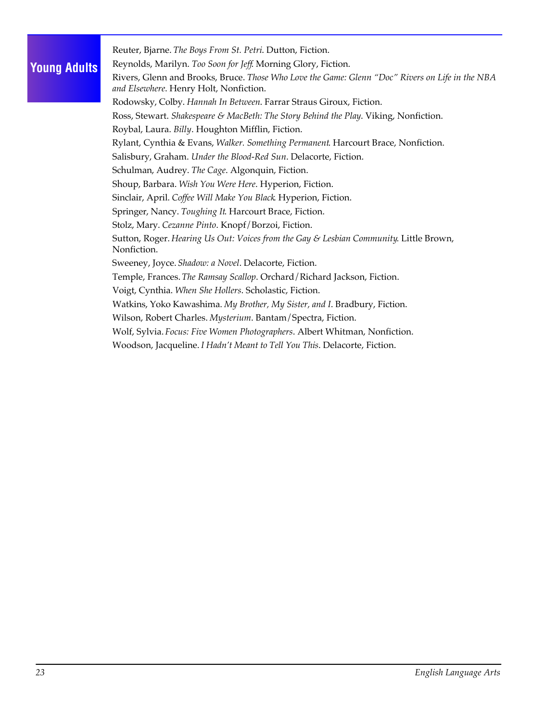#### **Young Adults**

Reuter, Bjarne. *The Boys From St. Petri*. Dutton, Fiction.

Reynolds, Marilyn. *Too Soon for Jeff*. Morning Glory, Fiction.

Rivers, Glenn and Brooks, Bruce. *Those Who Love the Game: Glenn "Doc" Rivers on Life in the NBA and Elsewhere*. Henry Holt, Nonfiction.

Rodowsky, Colby. *Hannah In Between*. Farrar Straus Giroux, Fiction.

Ross, Stewart. *Shakespeare & MacBeth: The Story Behind the Play*. Viking, Nonfiction.

Roybal, Laura. *Billy*. Houghton Mifflin, Fiction.

Rylant, Cynthia & Evans, *Walker. Something Permanent*. Harcourt Brace, Nonfiction.

Salisbury, Graham. *Under the Blood-Red Sun*. Delacorte, Fiction.

Schulman, Audrey. *The Cage*. Algonquin, Fiction.

Shoup, Barbara. *Wish You Were Here*. Hyperion, Fiction.

Sinclair, April. *Coffee Will Make You Black*. Hyperion, Fiction.

Springer, Nancy. *Toughing It*. Harcourt Brace, Fiction.

Stolz, Mary. *Cezanne Pinto*. Knopf/Borzoi, Fiction.

Sutton, Roger. *Hearing Us Out: Voices from the Gay & Lesbian Community*. Little Brown, Nonfiction.

Sweeney, Joyce. *Shadow: a Novel*. Delacorte, Fiction.

Temple, Frances. *The Ramsay Scallop*. Orchard/Richard Jackson, Fiction.

Voigt, Cynthia. *When She Hollers*. Scholastic, Fiction.

Watkins, Yoko Kawashima. *My Brother, My Sister, and I*. Bradbury, Fiction.

Wilson, Robert Charles. *Mysterium*. Bantam/Spectra, Fiction.

Wolf, Sylvia. *Focus: Five Women Photographers*. Albert Whitman, Nonfiction.

Woodson, Jacqueline. *I Hadn't Meant to Tell You This*. Delacorte, Fiction.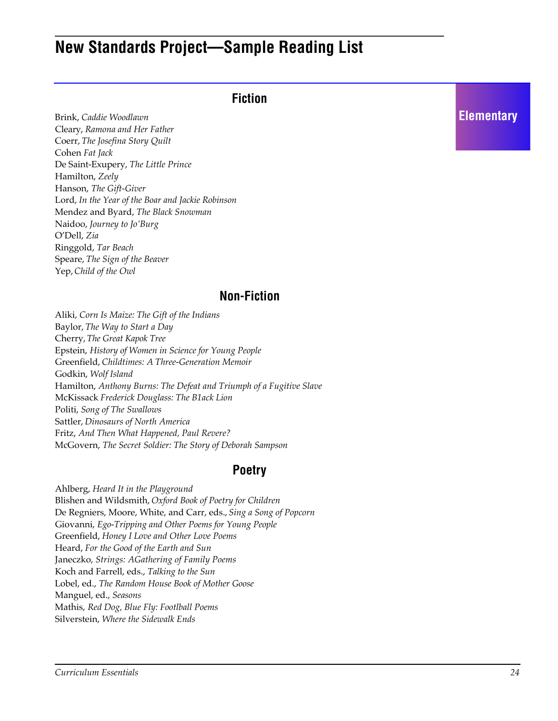## **New Standards Project—Sample Reading List**

#### **Fiction**

Brink, *Caddie Woodlawn* Cleary, *Ramona and Her Father* Coerr, *The Josefina Story Quilt* Cohen *Fat Jack* De Saint-Exupery, *The Little Prince* Hamilton, *Zeely* Hanson, *The Gift-Giver* Lord, *In the Year of the Boar and Jackie Robinson* Mendez and Byard, *The Black Snowman* Naidoo, *Journey to Jo'Burg* O'Dell, *Zia* Ringgold, *Tar Beach* Speare, *The Sign of the Beaver* Yep, *Child of the Owl*

#### **Non-Fiction**

Aliki, *Corn Is Maize: The Gift of the Indians* Baylor, *The Way to Start a Day* Cherry, *The Great Kapok Tree* Epstein, *History of Women in Science for Young People* Greenfield, *Childtimes: A Three-Generation Memoir* Godkin, *Wolf Island* Hamilton, *Anthony Burns: The Defeat and Triumph of a Fugitive Slave* McKissack *Frederick Douglass: The B1ack Lion* Politi, *Song of The Swallows* Sattler, *Dinosaurs of North America* Fritz, *And Then What Happened, Paul Revere?* McGovern, *The Secret Soldier: The Story of Deborah Sampson*

#### **Poetry**

Ahlberg, *Heard It in the Playground* Blishen and Wildsmith, *Oxford Book of Poetry for Children* De Regniers, Moore, White, and Carr, eds., *Sing a Song of Popcorn* Giovanni, *Ego-Tripping and Other Poems for Young People* Greenfield, *Honey I Love and Other Love Poems* Heard, *For the Good of the Earth and Sun* Janeczko, *Strings: AGathering of Family Poems* Koch and Farrell, eds., *Talking to the Sun* Lobel, ed., *The Random House Book of Mother Goose* Manguel, ed., *Seasons* Mathis, *Red Dog, Blue Fly: Footlball Poems* Silverstein, *Where the Sidewalk Ends*

#### **Elementary**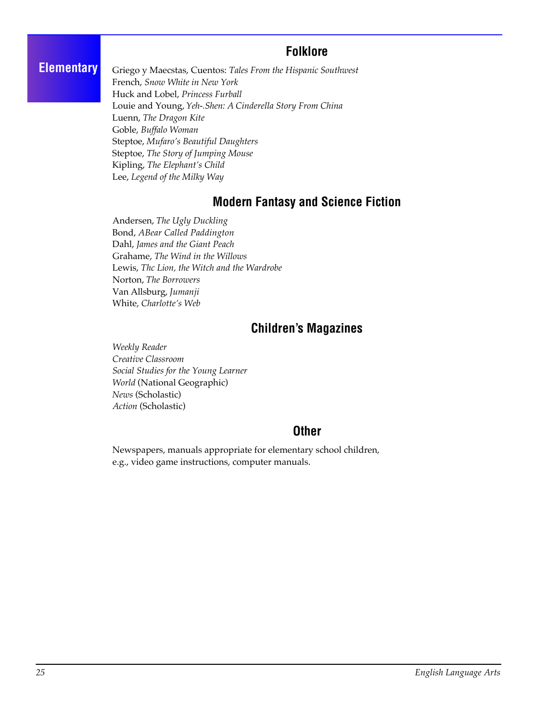#### **Folklore**

#### **Elementary**

Griego y Maecstas, Cuentos: *Tales From the Hispanic Southwest*  French, *Snow White in New York* Huck and Lobel, *Princess Furball* Louie and Young, *Yeh-.Shen: A Cinderella Story From China* Luenn, *The Dragon Kite* Goble, *Buffalo Woman* Steptoe, *Mufaro's Beautiful Daughters* Steptoe, *The Story of Jumping Mouse* Kipling, *The Elephant's Child* Lee, *Legend of the Milky Way*

#### **Modern Fantasy and Science Fiction**

Andersen, *The Ugly Duckling* Bond, *ABear Called Paddington* Dahl, *James and the Giant Peach* Grahame, *The Wind in the Willows* Lewis, *Thc Lion, the Witch and the Wardrobe*  Norton, *The Borrowers* Van Allsburg, *Jumanji* White, *Charlotte's Web*

#### **Children's Magazines**

*Weekly Reader Creative Classroom Social Studies for the Young Learner World* (National Geographic) *News* (Scholastic) *Action* (Scholastic)

#### **Other**

Newspapers, manuals appropriate for elementary school children, e.g., video game instructions, computer manuals.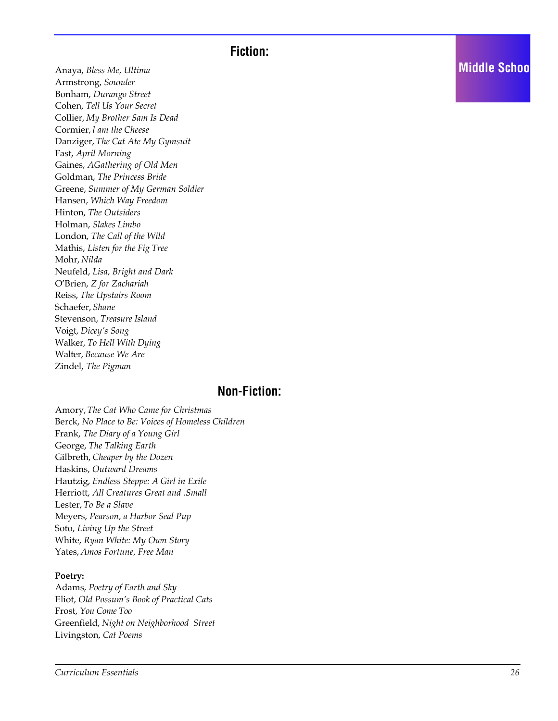#### **Fiction:**

Anaya, *Bless Me, Ultima* Armstrong, *Sounder* Bonham, *Durango Street* Cohen, *Tell Us Your Secret*  Collier, *My Brother Sam Is Dead* Cormier, *l am the Cheese* Danziger, *The Cat Ate My Gymsuit* Fast, *April Morning* Gaines, *AGathering of Old Men* Goldman, *The Princess Bride* Greene, *Summer of My German Soldier* Hansen, *Which Way Freedom* Hinton, *The Outsiders* Holman, *Slakes Limbo* London, *The Call of the Wild* Mathis, *Listen for the Fig Tree* Mohr, *Nilda* Neufeld, *Lisa, Bright and Dark* O'Brien, *Z for Zachariah* Reiss, *The Upstairs Room* Schaefer, *Shane* Stevenson, *Treasure Island* Voigt, *Dicey's Song* Walker, *To Hell With Dying* Walter, *Because We Are* Zindel, *The Pigman*

#### **Non-Fiction:**

Amory, *The Cat Who Came for Christmas* Berck, *No Place to Be: Voices of Homeless Children* Frank, *The Diary of a Young Girl* George, *The Talking Earth* Gilbreth, *Cheaper by the Dozen* Haskins, *Outward Dreams* Hautzig, *Endless Steppe: A Girl in Exile* Herriott, *All Creatures Great and .Small* Lester, *To Be a Slave* Meyers, *Pearson, a Harbor Seal Pup* Soto, *Living Up the Street* White, *Ryan White: My Own Story* Yates, *Amos Fortune, Free Man*

#### **Poetry:**

Adams, *Poetry of Earth and Sky* Eliot, *Old Possum's Book of Practical Cats* Frost, *You Come Too* Greenfield, *Night on Neighborhood Street* Livingston, *Cat Poems*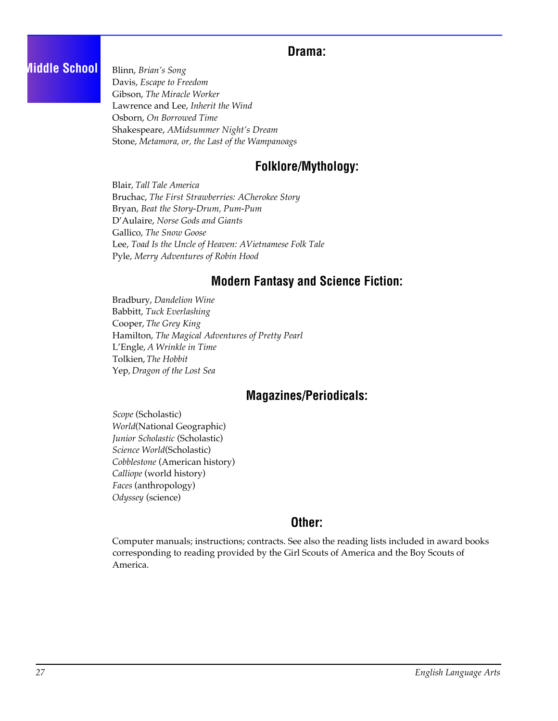#### **Drama:**

#### **Middle School**

Blinn, *Brian's Song* Davis, *Escape to Freedom* Gibson, *The Miracle Worker* Lawrence and Lee, *Inherit the Wind* Osborn, *On Borrowed Time* Shakespeare, *AMidsummer Night's Dream* Stone, *Metamora, or, the Last of the Wampanoags*

#### **Folklore/Mythology:**

Blair, *Tall Tale America* Bruchac, *The First Strawberries: ACherokee Story* Bryan, *Beat the Story-Drum, Pum-Pum* D'Aulaire, *Norse Gods and Giants* Gallico, *The Snow Goose* Lee, *Toad Is the Uncle of Heaven: AVietnamese Folk Tale* Pyle, *Merry Adventures of Robin Hood*

#### **Modern Fantasy and Science Fiction:**

Bradbury, *Dandelion Wine* Babbitt, *Tuck Everlashing* Cooper, *The Grey King* Hamilton, *The Magical Adventures of Pretty Pearl* L'Engle, *A Wrinkle in Time* Tolkien, *The Hobbit*  Yep, *Dragon of the Lost Sea*

#### **Magazines/Periodicals:**

*Scope* (Scholastic) *World*(National Geographic) *Junior Scholastic* (Scholastic) *Science World*(Scholastic) *Cobblestone* (American history) *Calliope* (world history) *Faces* (anthropology) *Odyssey* (science)

#### **Other:**

Computer manuals; instructions; contracts. See also the reading lists included in award books corresponding to reading provided by the Girl Scouts of America and the Boy Scouts of America.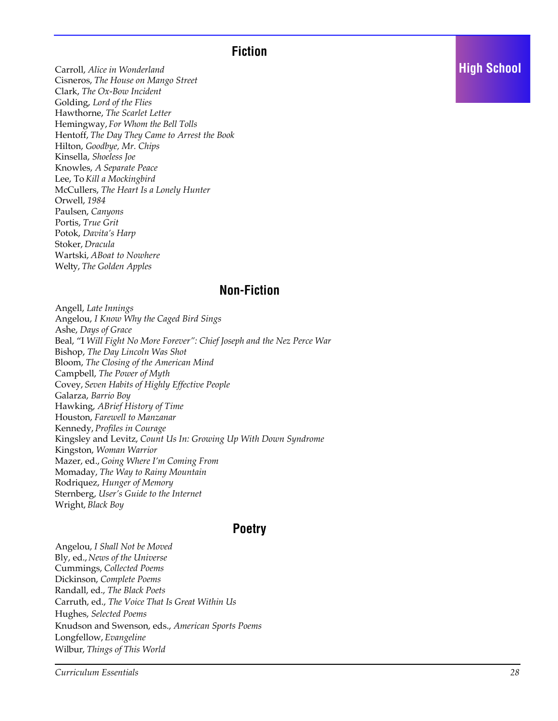#### **Fiction**

Carroll, *Alice in Wonderland* Cisneros, *The House on Mango Street* Clark, *The Ox-Bow Incident* Golding, *Lord of the Flies* Hawthorne, *The Scarlet Letter* Hemingway, *For Whom the Bell Tolls* Hentoff, *The Day They Came to Arrest the Book* Hilton, *Goodbye, Mr. Chips* Kinsella, *Shoeless Joe* Knowles, *A Separate Peace* Lee, To *Kill a Mockingbird* McCullers, *The Heart Is a Lonely Hunter* Orwell, *1984* Paulsen, *Canyons* Portis, *True Grit* Potok, *Davita's Harp* Stoker, *Dracula* Wartski, *ABoat to Nowhere* Welty, *The Golden Apples*

#### **Non-Fiction**

Angell, *Late Innings* Angelou, *I Know Why the Caged Bird Sings* Ashe, *Days of Grace* Beal, "I *Will Fight No More Forever": Chief Joseph and the Nez Perce War* Bishop, *The Day Lincoln Was Shot* Bloom, *The Closing of the American Mind* Campbell, *The Power of Myth* Covey, *Seven Habits of Highly Effective People* Galarza, *Barrio Boy* Hawking, *ABrief History of Time* Houston, *Farewell to Manzanar* Kennedy, *Profiles in Courage* Kingsley and Levitz, *Count Us In: Growing Up With Down Syndrome* Kingston, *Woman Warrior* Mazer, ed., *Going Where I'm Coming From* Momaday, *The Way to Rainy Mountain* Rodriquez, *Hunger of Memory* Sternberg, *User's Guide to the Internet* Wright, *Black Boy*

#### **Poetry**

Angelou, *I Shall Not be Moved* Bly, ed., *News of the Universe* Cummings, *Collected Poems* Dickinson, *Complete Poems* Randall, ed., *The Black Poets* Carruth, ed., *The Voice That Is Great Within Us* Hughes, *Selected Poems* Knudson and Swenson, eds., *American Sports Poems* Longfellow, *Evangeline* Wilbur, *Things of This World*